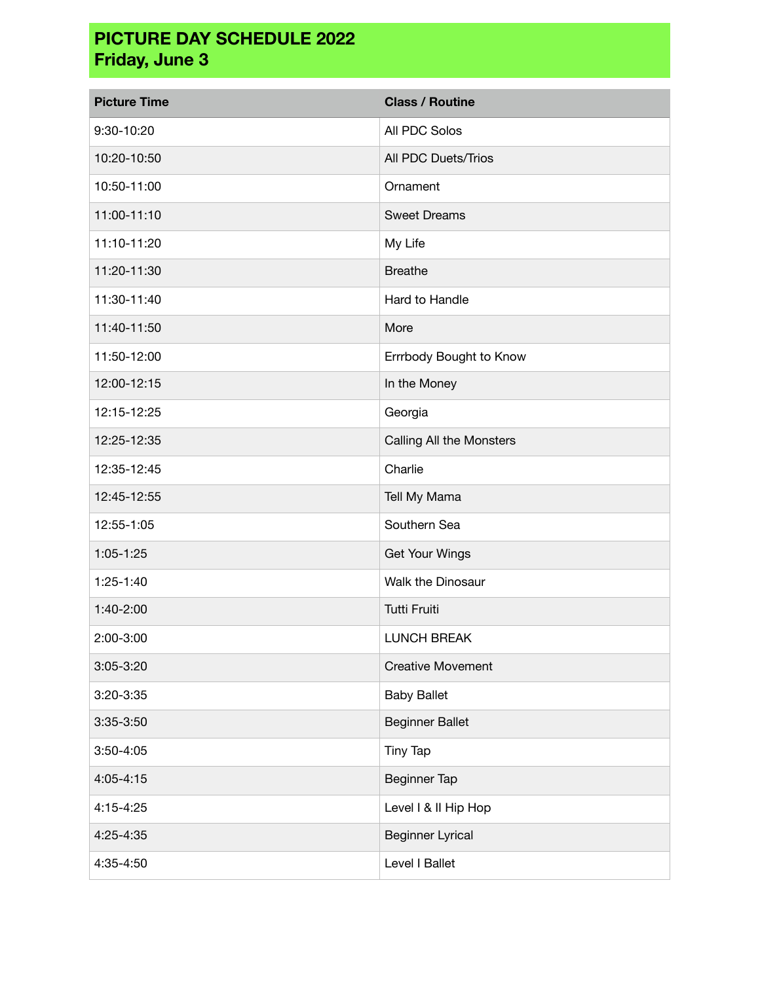## **PICTURE DAY SCHEDULE 2022 Friday, June 3**

| <b>Picture Time</b> | <b>Class / Routine</b>   |
|---------------------|--------------------------|
| 9:30-10:20          | All PDC Solos            |
| 10:20-10:50         | All PDC Duets/Trios      |
| 10:50-11:00         | Ornament                 |
| 11:00-11:10         | <b>Sweet Dreams</b>      |
| 11:10-11:20         | My Life                  |
| 11:20-11:30         | <b>Breathe</b>           |
| 11:30-11:40         | Hard to Handle           |
| 11:40-11:50         | More                     |
| 11:50-12:00         | Errrbody Bought to Know  |
| 12:00-12:15         | In the Money             |
| 12:15-12:25         | Georgia                  |
| 12:25-12:35         | Calling All the Monsters |
| 12:35-12:45         | Charlie                  |
| 12:45-12:55         | Tell My Mama             |
| 12:55-1:05          | Southern Sea             |
| $1:05 - 1:25$       | <b>Get Your Wings</b>    |
| 1:25-1:40           | Walk the Dinosaur        |
| 1:40-2:00           | Tutti Fruiti             |
| 2:00-3:00           | <b>LUNCH BREAK</b>       |
| $3:05 - 3:20$       | <b>Creative Movement</b> |
| 3:20-3:35           | <b>Baby Ballet</b>       |
| 3:35-3:50           | <b>Beginner Ballet</b>   |
| $3:50 - 4:05$       | Tiny Tap                 |
| 4:05-4:15           | <b>Beginner Tap</b>      |
| 4:15-4:25           | Level I & II Hip Hop     |
| 4:25-4:35           | <b>Beginner Lyrical</b>  |
| 4:35-4:50           | Level I Ballet           |